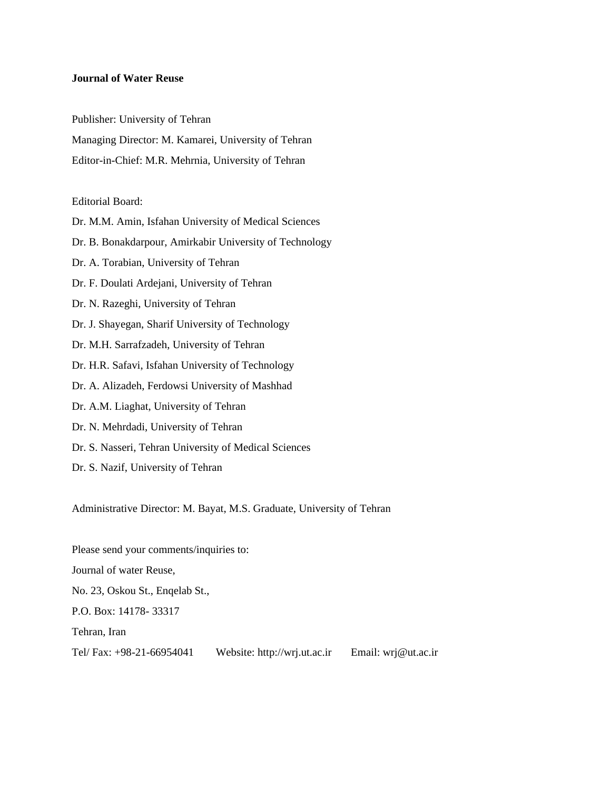#### **Journal of Water Reuse**

Publisher: University of Tehran

Managing Director: M. Kamarei, University of Tehran

Editor-in-Chief: M.R. Mehrnia, University of Tehran

#### Editorial Board:

Dr. M.M. Amin, Isfahan University of Medical Sciences Dr. B. Bonakdarpour, Amirkabir University of Technology Dr. A. Torabian, University of Tehran Dr. F. Doulati Ardejani, University of Tehran Dr. N. Razeghi, University of Tehran Dr. J. Shayegan, Sharif University of Technology Dr. M.H. Sarrafzadeh, University of Tehran Dr. H.R. Safavi, Isfahan University of Technology Dr. A. Alizadeh, Ferdowsi University of Mashhad Dr. A.M. Liaghat, University of Tehran Dr. N. Mehrdadi, University of Tehran Dr. S. Nasseri, Tehran University of Medical Sciences Dr. S. Nazif, University of Tehran

Administrative Director: M. Bayat, M.S. Graduate, University of Tehran

Please send your comments/inquiries to: Journal of water Reuse, No. 23, Oskou St., Enqelab St., P.O. Box: 14178- 33317 Tehran, Iran Tel/ Fax: +98-21-66954041 Website: http://wrj.ut.ac.ir Email: wrj@ut.ac.ir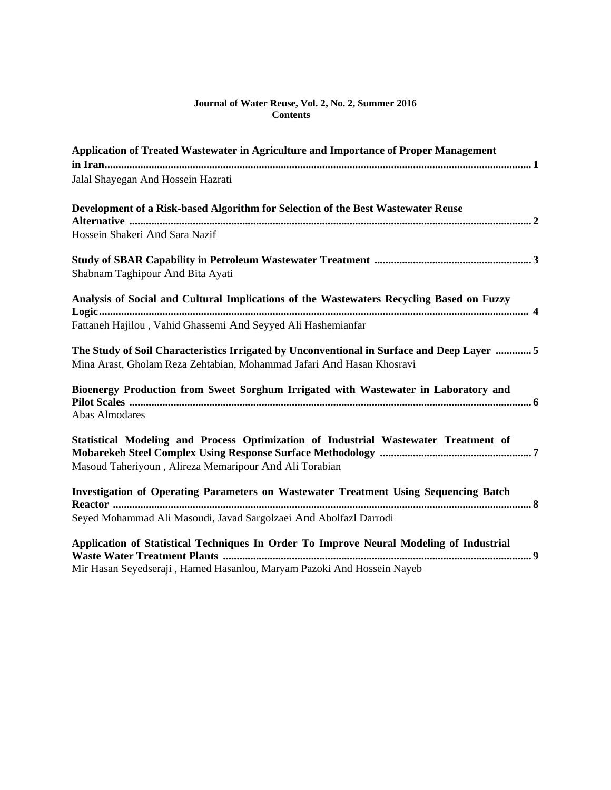#### **Journal of Water Reuse, Vol. 2, No. 2, Summer 2016 Contents**

| Application of Treated Wastewater in Agriculture and Importance of Proper Management        |
|---------------------------------------------------------------------------------------------|
|                                                                                             |
| Jalal Shayegan And Hossein Hazrati                                                          |
| Development of a Risk-based Algorithm for Selection of the Best Wastewater Reuse            |
|                                                                                             |
| Hossein Shakeri And Sara Nazif                                                              |
|                                                                                             |
| Shabnam Taghipour And Bita Ayati                                                            |
| Analysis of Social and Cultural Implications of the Wastewaters Recycling Based on Fuzzy    |
|                                                                                             |
| Fattaneh Hajilou, Vahid Ghassemi And Seyyed Ali Hashemianfar                                |
| The Study of Soil Characteristics Irrigated by Unconventional in Surface and Deep Layer  5  |
| Mina Arast, Gholam Reza Zehtabian, Mohammad Jafari And Hasan Khosravi                       |
| Bioenergy Production from Sweet Sorghum Irrigated with Wastewater in Laboratory and         |
|                                                                                             |
| <b>Abas Almodares</b>                                                                       |
| Statistical Modeling and Process Optimization of Industrial Wastewater Treatment of         |
| Masoud Taheriyoun, Alireza Memaripour And Ali Torabian                                      |
|                                                                                             |
| <b>Investigation of Operating Parameters on Wastewater Treatment Using Sequencing Batch</b> |
|                                                                                             |
| Seyed Mohammad Ali Masoudi, Javad Sargolzaei And Abolfazl Darrodi                           |
| Application of Statistical Techniques In Order To Improve Neural Modeling of Industrial     |
|                                                                                             |
| Mir Hasan Seyedseraji, Hamed Hasanlou, Maryam Pazoki And Hossein Nayeb                      |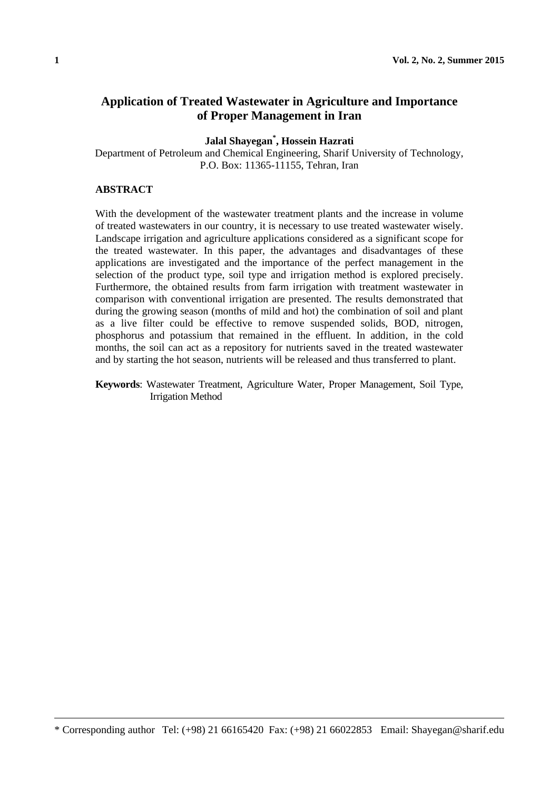# **Application of Treated Wastewater in Agriculture and Importance of Proper Management in Iran**

**Jalal Shayegan\* , Hossein Hazrati**

Department of Petroleum and Chemical Engineering, Sharif University of Technology, P.O. Box: 11365-11155, Tehran, Iran

#### **ABSTRACT**

With the development of the wastewater treatment plants and the increase in volume of treated wastewaters in our country, it is necessary to use treated wastewater wisely. Landscape irrigation and agriculture applications considered as a significant scope for the treated wastewater. In this paper, the advantages and disadvantages of these applications are investigated and the importance of the perfect management in the selection of the product type, soil type and irrigation method is explored precisely. Furthermore, the obtained results from farm irrigation with treatment wastewater in comparison with conventional irrigation are presented. The results demonstrated that during the growing season (months of mild and hot) the combination of soil and plant as a live filter could be effective to remove suspended solids, BOD, nitrogen, phosphorus and potassium that remained in the effluent. In addition, in the cold months, the soil can act as a repository for nutrients saved in the treated wastewater and by starting the hot season, nutrients will be released and thus transferred to plant.

**Keywords**: Wastewater Treatment, Agriculture Water, Proper Management, Soil Type, Irrigation Method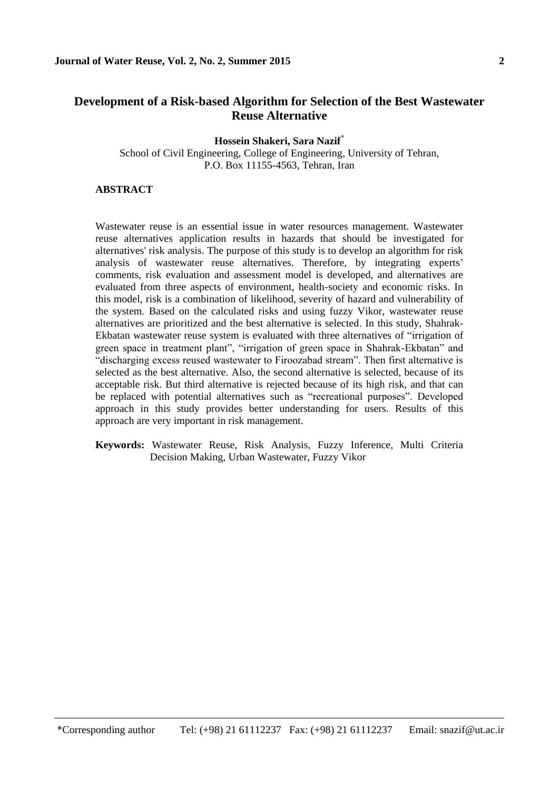# **Development of a Risk-based Algorithm for Selection of the Best Wastewater Reuse Alternative**

**Hossein Shakeri, Sara Nazif**\* School of Civil Engineering, College of Engineering, University of Tehran, P.O. Box 11155-4563, Tehran, Iran

### **ABSTRACT**

 $\overline{\phantom{a}}$ 

Wastewater reuse is an essential issue in water resources management. Wastewater reuse alternatives application results in hazards that should be investigated for alternatives' risk analysis. The purpose of this study is to develop an algorithm for risk analysis of wastewater reuse alternatives. Therefore, by integrating experts' comments, risk evaluation and assessment model is developed, and alternatives are evaluated from three aspects of environment, health-society and economic risks. In this model, risk is a combination of likelihood, severity of hazard and vulnerability of the system. Based on the calculated risks and using fuzzy Vikor, wastewater reuse alternatives are prioritized and the best alternative is selected. In this study, Shahrak-Ekbatan wastewater reuse system is evaluated with three alternatives of "irrigation of green space in treatment plant", "irrigation of green space in Shahrak-Ekbatan" and "discharging excess reused wastewater to Firoozabad stream". Then first alternative is selected as the best alternative. Also, the second alternative is selected, because of its acceptable risk. But third alternative is rejected because of its high risk, and that can be replaced with potential alternatives such as "recreational purposes". Developed approach in this study provides better understanding for users. Results of this approach are very important in risk management.

**Keywords:** Wastewater Reuse, Risk Analysis, Fuzzy Inference, Multi Criteria Decision Making, Urban Wastewater, Fuzzy Vikor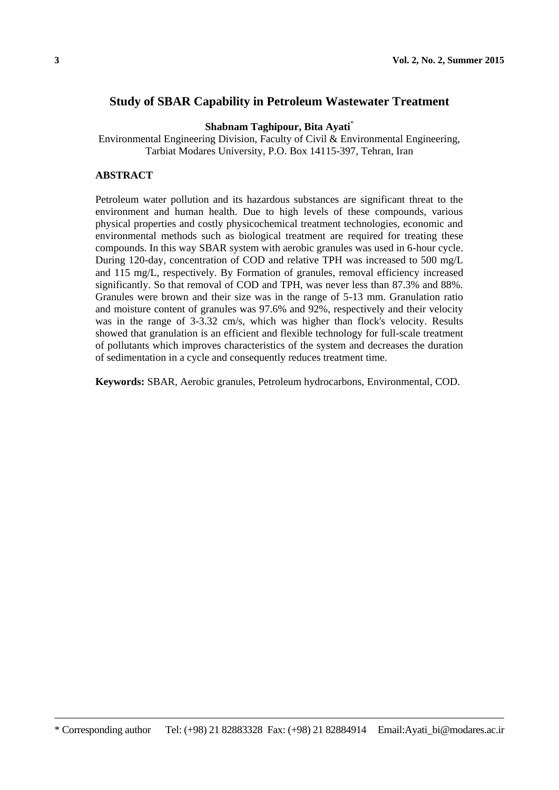## **Study of SBAR Capability in Petroleum Wastewater Treatment**

**Shabnam Taghipour, Bita Ayati**\*

Environmental Engineering Division, Faculty of Civil & Environmental Engineering, Tarbiat Modares University, P.O. Box 14115-397, Tehran, Iran

### **ABSTRACT**

Petroleum water pollution and its hazardous substances are significant threat to the environment and human health. Due to high levels of these compounds, various physical properties and costly physicochemical treatment technologies, economic and environmental methods such as biological treatment are required for treating these compounds. In this way SBAR system with aerobic granules was used in 6-hour cycle. During 120-day, concentration of COD and relative TPH was increased to 500 mg/L and 115 mg/L, respectively. By Formation of granules, removal efficiency increased significantly. So that removal of COD and TPH, was never less than 87.3% and 88%. Granules were brown and their size was in the range of 5-13 mm. Granulation ratio and moisture content of granules was 97.6% and 92%, respectively and their velocity was in the range of 3-3.32 cm/s, which was higher than flock's velocity. Results showed that granulation is an efficient and flexible technology for full-scale treatment of pollutants which improves characteristics of the system and decreases the duration of sedimentation in a cycle and consequently reduces treatment time.

**Keywords:** SBAR, Aerobic granules, Petroleum hydrocarbons, Environmental, COD.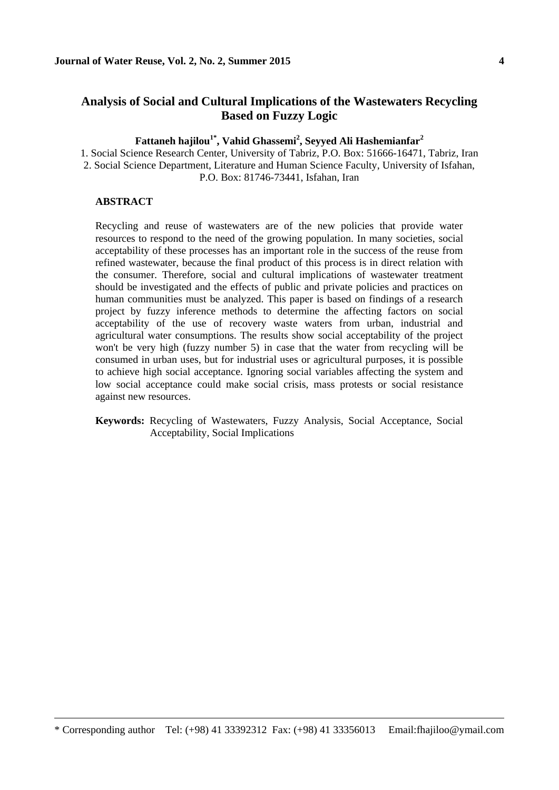# **Analysis of Social and Cultural Implications of the Wastewaters Recycling Based on Fuzzy Logic**

### **Fattaneh hajilou1\* , Vahid Ghassemi<sup>2</sup> , Seyyed Ali Hashemianfar<sup>2</sup>**

1. Social Science Research Center, University of Tabriz, P.O. Box: 51666-16471, Tabriz, Iran 2. Social Science Department, Literature and Human Science Faculty, University of Isfahan, P.O. Box: 81746-73441, Isfahan, Iran

#### **ABSTRACT**

 $\overline{\phantom{a}}$ 

Recycling and reuse of wastewaters are of the new policies that provide water resources to respond to the need of the growing population. In many societies, social acceptability of these processes has an important role in the success of the reuse from refined wastewater, because the final product of this process is in direct relation with the consumer. Therefore, social and cultural implications of wastewater treatment should be investigated and the effects of public and private policies and practices on human communities must be analyzed. This paper is based on findings of a research project by fuzzy inference methods to determine the affecting factors on social acceptability of the use of recovery waste waters from urban, industrial and agricultural water consumptions. The results show social acceptability of the project won't be very high (fuzzy number 5) in case that the water from recycling will be consumed in urban uses, but for industrial uses or agricultural purposes, it is possible to achieve high social acceptance. Ignoring social variables affecting the system and low social acceptance could make social crisis, mass protests or social resistance against new resources.

**Keywords:** Recycling of Wastewaters, Fuzzy Analysis, Social Acceptance, Social Acceptability, Social Implications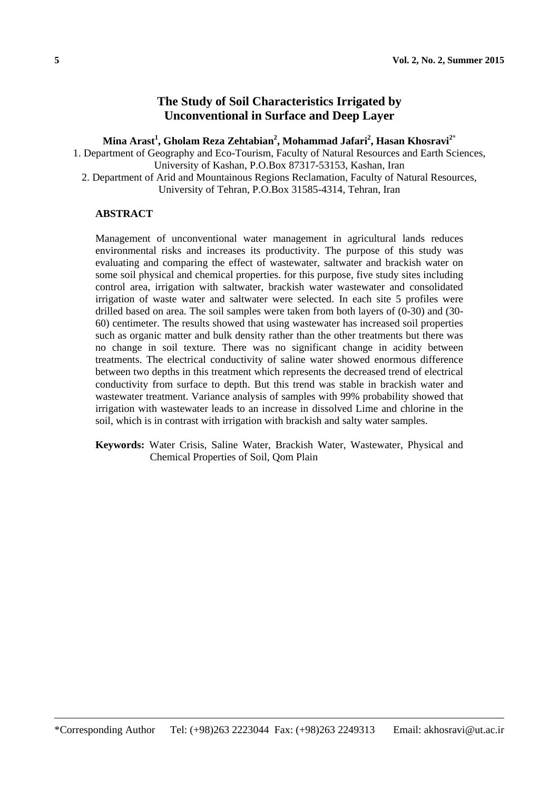# **The Study of Soil Characteristics Irrigated by Unconventional in Surface and Deep Layer**

**Mina Arast<sup>1</sup> , Gholam Reza Zehtabian<sup>2</sup> , Mohammad Jafari<sup>2</sup> , Hasan Khosravi2\***

1. Department of Geography and Eco-Tourism, Faculty of Natural Resources and Earth Sciences, University of Kashan, P.O.Box 87317-53153, Kashan, Iran

2. Department of Arid and Mountainous Regions Reclamation, Faculty of Natural Resources, University of Tehran, P.O.Box 31585-4314, Tehran, Iran

### **ABSTRACT**

Management of unconventional water management in agricultural lands reduces environmental risks and increases its productivity. The purpose of this study was evaluating and comparing the effect of wastewater, saltwater and brackish water on some soil physical and chemical properties. for this purpose, five study sites including control area, irrigation with saltwater, brackish water wastewater and consolidated irrigation of waste water and saltwater were selected. In each site 5 profiles were drilled based on area. The soil samples were taken from both layers of (0-30) and (30- 60) centimeter. The results showed that using wastewater has increased soil properties such as organic matter and bulk density rather than the other treatments but there was no change in soil texture. There was no significant change in acidity between treatments. The electrical conductivity of saline water showed enormous difference between two depths in this treatment which represents the decreased trend of electrical conductivity from surface to depth. But this trend was stable in brackish water and wastewater treatment. Variance analysis of samples with 99% probability showed that irrigation with wastewater leads to an increase in dissolved Lime and chlorine in the soil, which is in contrast with irrigation with brackish and salty water samples.

**Keywords:** Water Crisis, Saline Water, Brackish Water, Wastewater, Physical and Chemical Properties of Soil, Qom Plain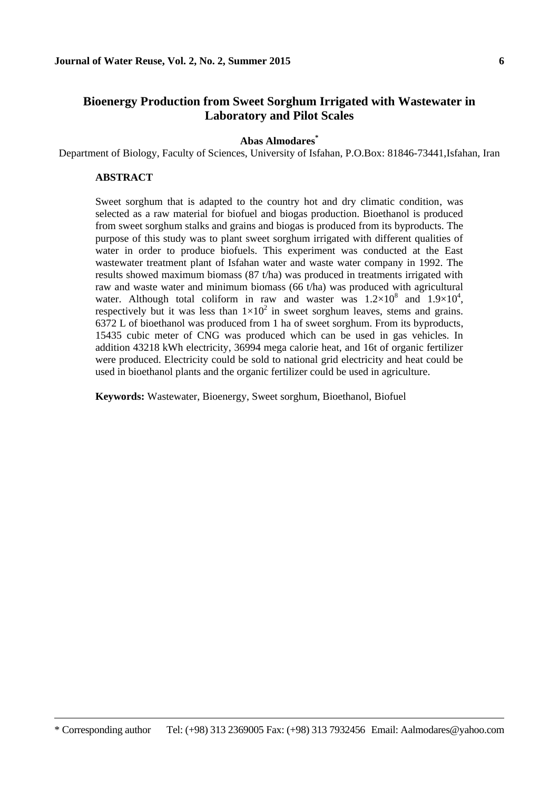# **Bioenergy Production from Sweet Sorghum Irrigated with Wastewater in Laboratory and Pilot Scales**

#### **Abas Almodares\***

Department of Biology, Faculty of Sciences, University of Isfahan, P.O.Box: 81846-73441,Isfahan, Iran

#### **ABSTRACT**

 $\overline{\phantom{a}}$ 

Sweet sorghum that is adapted to the country hot and dry climatic condition, was selected as a raw material for biofuel and biogas production. Bioethanol is produced from sweet sorghum stalks and grains and biogas is produced from its byproducts. The purpose of this study was to plant sweet sorghum irrigated with different qualities of water in order to produce biofuels. This experiment was conducted at the East wastewater treatment plant of Isfahan water and waste water company in 1992. The results showed maximum biomass (87 t/ha) was produced in treatments irrigated with raw and waste water and minimum biomass (66 t/ha) was produced with agricultural water. Although total coliform in raw and waster was  $1.2 \times 10^8$  and  $1.9 \times 10^4$ , respectively but it was less than  $1 \times 10^2$  in sweet sorghum leaves, stems and grains. 6372 L of bioethanol was produced from 1 ha of sweet sorghum. From its byproducts, 15435 cubic meter of CNG was produced which can be used in gas vehicles. In addition 43218 kWh electricity, 36994 mega calorie heat, and 16t of organic fertilizer were produced. Electricity could be sold to national grid electricity and heat could be used in bioethanol plants and the organic fertilizer could be used in agriculture.

**Keywords:** Wastewater, Bioenergy, Sweet sorghum, Bioethanol, Biofuel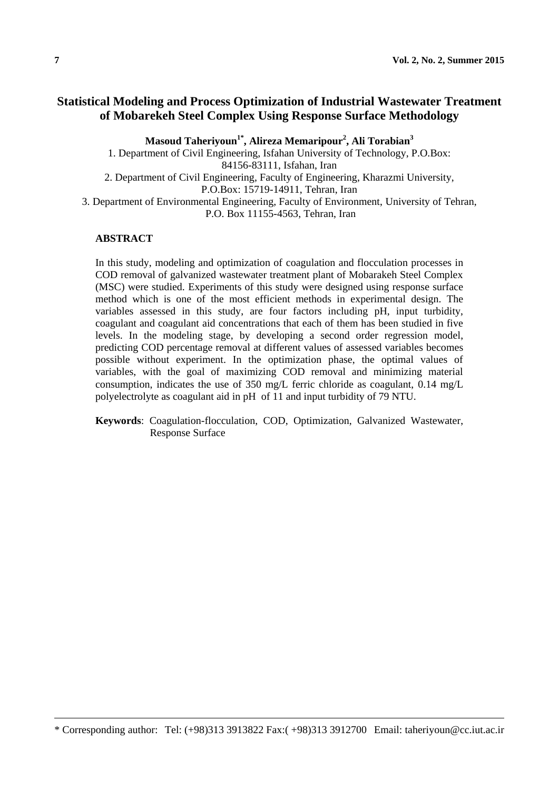# **Statistical Modeling and Process Optimization of Industrial Wastewater Treatment of Mobarekeh Steel Complex Using Response Surface Methodology**

**Masoud Taheriyoun1\* , Alireza Memaripour<sup>2</sup> , Ali Torabian<sup>3</sup>**

1. Department of Civil Engineering, Isfahan University of Technology, P.O.Box: 84156-83111, Isfahan, Iran 2. Department of Civil Engineering, Faculty of Engineering, Kharazmi University, P.O.Box: 15719-14911, Tehran, Iran 3. Department of Environmental Engineering, Faculty of Environment, University of Tehran, P.O. Box 11155-4563, Tehran, Iran

#### **ABSTRACT**

In this study, modeling and optimization of coagulation and flocculation processes in COD removal of galvanized wastewater treatment plant of Mobarakeh Steel Complex (MSC) were studied. Experiments of this study were designed using response surface method which is one of the most efficient methods in experimental design. The variables assessed in this study, are four factors including pH, input turbidity, coagulant and coagulant aid concentrations that each of them has been studied in five levels. In the modeling stage, by developing a second order regression model, predicting COD percentage removal at different values of assessed variables becomes possible without experiment. In the optimization phase, the optimal values of variables, with the goal of maximizing COD removal and minimizing material consumption, indicates the use of 350 mg/L ferric chloride as coagulant,  $0.14 \text{ mg/L}$ polyelectrolyte as coagulant aid in pH of 11 and input turbidity of 79 NTU.

**Keywords**: Coagulation-flocculation, COD, Optimization, Galvanized Wastewater, Response Surface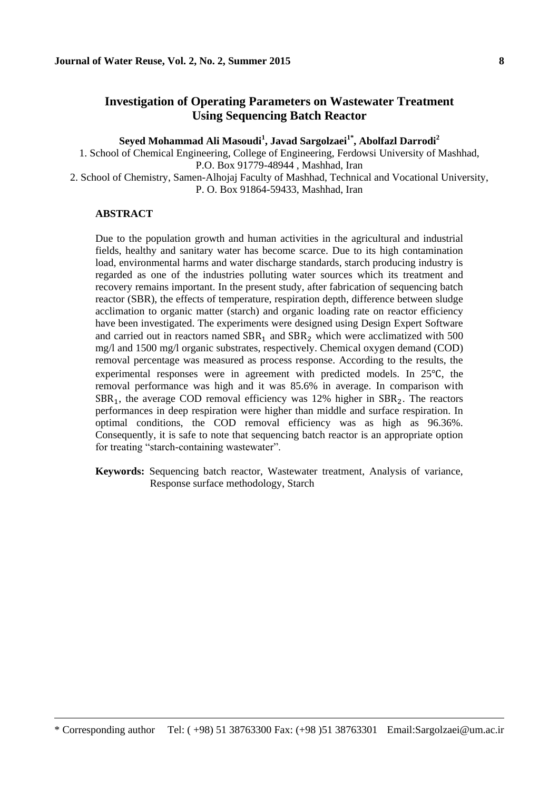## **Investigation of Operating Parameters on Wastewater Treatment Using Sequencing Batch Reactor**

**Seyed Mohammad Ali Masoudi<sup>1</sup> , Javad Sargolzaei1\*, Abolfazl Darrodi<sup>2</sup>**

1. School of Chemical Engineering, College of Engineering, Ferdowsi University of Mashhad, P.O. Box 91779-48944 , Mashhad, Iran

2. School of Chemistry, Samen-Alhojaj Faculty of Mashhad, Technical and Vocational University, P. O. Box 91864-59433, Mashhad, Iran

### **ABSTRACT**

 $\overline{\phantom{a}}$ 

Due to the population growth and human activities in the agricultural and industrial fields, healthy and sanitary water has become scarce. Due to its high contamination load, environmental harms and water discharge standards, starch producing industry is regarded as one of the industries polluting water sources which its treatment and recovery remains important. In the present study, after fabrication of sequencing batch reactor (SBR), the effects of temperature, respiration depth, difference between sludge acclimation to organic matter (starch) and organic loading rate on reactor efficiency have been investigated. The experiments were designed using Design Expert Software and carried out in reactors named  $SBR<sub>1</sub>$  and  $SBR<sub>2</sub>$  which were acclimatized with 500 mg/l and 1500 mg/l organic substrates, respectively. Chemical oxygen demand (COD) removal percentage was measured as process response. According to the results, the experimental responses were in agreement with predicted models. In 25℃, the removal performance was high and it was 85.6% in average. In comparison with  $SBR<sub>1</sub>$ , the average COD removal efficiency was 12% higher in  $SBR<sub>2</sub>$ . The reactors performances in deep respiration were higher than middle and surface respiration. In optimal conditions, the COD removal efficiency was as high as 96.36%. Consequently, it is safe to note that sequencing batch reactor is an appropriate option for treating "starch-containing wastewater".

**Keywords:** Sequencing batch reactor, Wastewater treatment, Analysis of variance, Response surface methodology, Starch

<sup>\*</sup> Corresponding author Tel: ( +98) 51 38763300 Fax: (+98 )51 38763301 Email:Sargolzaei@um.ac.ir